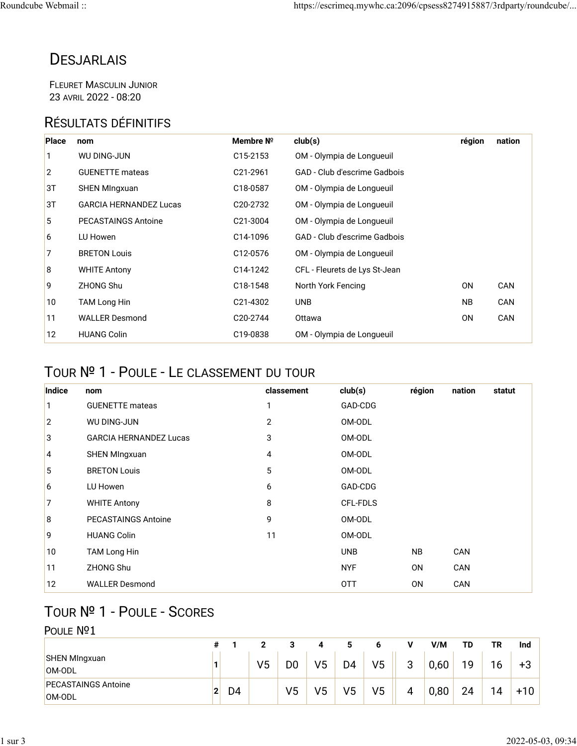## **DESJARLAIS**

FLEURET MASCULIN JUNIOR 23 AVRIL 2022 - 08:20

#### RÉSULTATS DÉFINITIFS

| <b>Place</b> | nom                           | Membre Nº             | club(s)                       | région         | nation |
|--------------|-------------------------------|-----------------------|-------------------------------|----------------|--------|
|              | <b>WU DING-JUN</b>            | C <sub>15</sub> -2153 | OM - Olympia de Longueuil     |                |        |
| 2            | <b>GUENETTE</b> mateas        | C21-2961              | GAD - Club d'escrime Gadbois  |                |        |
| 3T           | <b>SHEN MIngxuan</b>          | C18-0587              | OM - Olympia de Longueuil     |                |        |
| 3T           | <b>GARCIA HERNANDEZ Lucas</b> | C <sub>20</sub> -2732 | OM - Olympia de Longueuil     |                |        |
| 5            | <b>PECASTAINGS Antoine</b>    | C <sub>21</sub> -3004 | OM - Olympia de Longueuil     |                |        |
| 6            | LU Howen                      | C14-1096              | GAD - Club d'escrime Gadbois  |                |        |
| 7            | <b>BRETON Louis</b>           | C <sub>12</sub> -0576 | OM - Olympia de Longueuil     |                |        |
| 8            | <b>WHITE Antony</b>           | C14-1242              | CFL - Fleurets de Lys St-Jean |                |        |
| 9            | <b>ZHONG Shu</b>              | C <sub>18</sub> -1548 | North York Fencing            | 0 <sub>N</sub> | CAN    |
| 10           | TAM Long Hin                  | C <sub>21</sub> -4302 | <b>UNB</b>                    | <b>NB</b>      | CAN    |
| 11           | <b>WALLER Desmond</b>         | C20-2744              | Ottawa                        | 0N             | CAN    |
| 12           | <b>HUANG Colin</b>            | C19-0838              | OM - Olympia de Longueuil     |                |        |

### TOUR № 1 - POULE - LE CLASSEMENT DU TOUR

| Indice         | nom                           | classement     | club(s)    | région | nation | statut |
|----------------|-------------------------------|----------------|------------|--------|--------|--------|
| 1              | <b>GUENETTE</b> mateas        | 1              | GAD-CDG    |        |        |        |
| $\overline{2}$ | <b>WU DING-JUN</b>            | $\overline{2}$ | OM-ODL     |        |        |        |
| 3              | <b>GARCIA HERNANDEZ Lucas</b> | 3              | OM-ODL     |        |        |        |
| 4              | <b>SHEN MIngxuan</b>          | 4              | OM-ODL     |        |        |        |
| 5              | <b>BRETON Louis</b>           | 5              | OM-ODL     |        |        |        |
| 6              | LU Howen                      | 6              | GAD-CDG    |        |        |        |
| 7              | <b>WHITE Antony</b>           | 8              | CFL-FDLS   |        |        |        |
| 8              | <b>PECASTAINGS Antoine</b>    | 9              | OM-ODL     |        |        |        |
| 9              | <b>HUANG Colin</b>            | 11             | OM-ODL     |        |        |        |
| 10             | TAM Long Hin                  |                | <b>UNB</b> | NB.    | CAN    |        |
| 11             | ZHONG Shu                     |                | <b>NYF</b> | 0N     | CAN    |        |
| 12             | <b>WALLER Desmond</b>         |                | <b>OTT</b> | 0N     | CAN    |        |

### TOUR № 1 - POULE - SCORES

#### POULE Nº1

|                                      | #            |                |            |    |    |                | О              |   | V/M  | TD | ΤR | Ind   |
|--------------------------------------|--------------|----------------|------------|----|----|----------------|----------------|---|------|----|----|-------|
| SHEN MIngxuan<br>OM-ODL              |              |                | $\sqrt{5}$ | D0 | V5 | D <sub>4</sub> | V <sub>5</sub> | 3 | 0,60 | 19 | 16 | +3    |
| <b>PECASTAINGS Antoine</b><br>OM-ODL | $\mathbf{2}$ | D <sub>4</sub> |            | V5 | V5 | $\sqrt{5}$     | V <sub>5</sub> | 4 | 0,80 | 24 | 14 | $+10$ |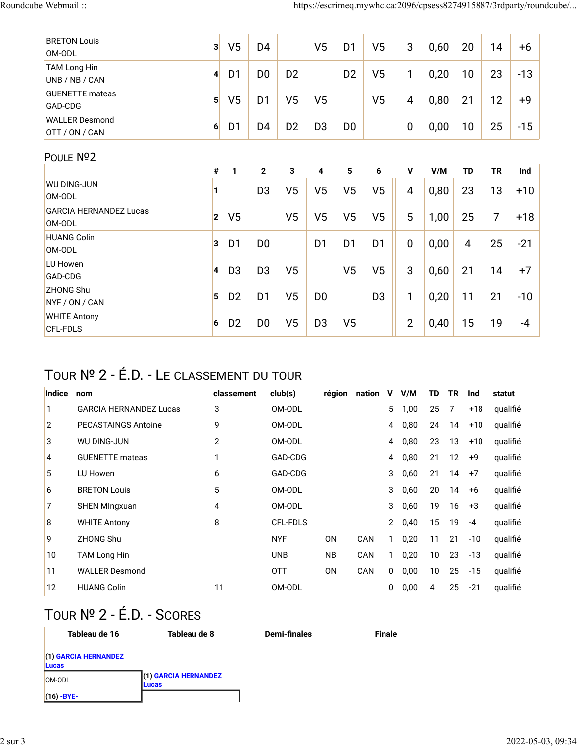| <b>BRETON Louis</b><br>OM-ODL           | 3 <sup>1</sup> | V <sub>5</sub> | D <sub>4</sub> |                | V <sub>5</sub>          | D <sub>1</sub> | V <sub>5</sub> | 3              | 0,60 | 20             | 14        | +6    |
|-----------------------------------------|----------------|----------------|----------------|----------------|-------------------------|----------------|----------------|----------------|------|----------------|-----------|-------|
| TAM Long Hin<br>UNB / NB / CAN          | $\vert$        | D <sub>1</sub> | D <sub>0</sub> | D <sub>2</sub> |                         | D <sub>2</sub> | V <sub>5</sub> | 1              | 0,20 | 10             | 23        | $-13$ |
| <b>GUENETTE</b> mateas<br>GAD-CDG       | 5 <sup>1</sup> | V <sub>5</sub> | D <sub>1</sub> | V <sub>5</sub> | V <sub>5</sub>          |                | V <sub>5</sub> | 4              | 0,80 | 21             | 12        | $+9$  |
| <b>WALLER Desmond</b><br>OTT / ON / CAN | 6              | D <sub>1</sub> | D4             | D <sub>2</sub> | D <sub>3</sub>          | D <sub>0</sub> |                | $\mathbf 0$    | 0,00 | 10             | 25        | $-15$ |
| POULE Nº2                               |                |                |                |                |                         |                |                |                |      |                |           |       |
|                                         | $\#$           | $\mathbf{1}$   | $\mathbf{2}$   | $\mathbf{3}$   | $\overline{\mathbf{4}}$ | 5              | 6              | $\mathsf{V}$   | V/M  | <b>TD</b>      | <b>TR</b> | Ind   |
| <b>WU DING-JUN</b>                      | 1              |                | D <sub>3</sub> | V <sub>5</sub> | V <sub>5</sub>          | V <sub>5</sub> | V <sub>5</sub> | 4              | 0,80 | 23             | 13        | $+10$ |
| OM-ODL                                  |                |                |                |                |                         |                |                |                |      |                |           |       |
| <b>GARCIA HERNANDEZ Lucas</b>           | $\mathbf{2}$   | V <sub>5</sub> |                | V <sub>5</sub> | V <sub>5</sub>          | V <sub>5</sub> | V <sub>5</sub> | 5              |      | 25             | 7         |       |
| OM-ODL                                  |                |                |                |                |                         |                |                |                | 1,00 |                |           | $+18$ |
| <b>HUANG Colin</b>                      | 3 <sup>1</sup> |                |                |                |                         |                |                |                |      |                |           |       |
| OM-ODL                                  |                | D <sub>1</sub> | D <sub>0</sub> |                | D <sub>1</sub>          | D <sub>1</sub> | D <sub>1</sub> | $\mathbf 0$    | 0,00 | $\overline{4}$ | 25        | $-21$ |
| LU Howen                                |                |                |                |                |                         |                |                |                |      |                |           |       |
| GAD-CDG                                 | $\vert$        | D <sub>3</sub> | D <sub>3</sub> | V <sub>5</sub> |                         | V <sub>5</sub> | V <sub>5</sub> | 3              | 0,60 | 21             | 14        | $+7$  |
| <b>ZHONG Shu</b>                        |                |                |                |                |                         |                |                |                |      |                |           |       |
| NYF / ON / CAN                          | 5              | D <sub>2</sub> | D <sub>1</sub> | V <sub>5</sub> | D <sub>0</sub>          |                | D <sub>3</sub> | 1              | 0,20 | 11             | 21        | $-10$ |
| <b>WHITE Antony</b>                     |                |                |                |                |                         |                |                |                |      |                |           |       |
| <b>CFL-FDLS</b>                         | 6              | D <sub>2</sub> | D <sub>0</sub> | V <sub>5</sub> | D <sub>3</sub>          | V <sub>5</sub> |                | $\overline{2}$ | 0,40 | 15             | 19        | -4    |

# TOUR № 2 - É.D. - LE CLASSEMENT DU TOUR

| Indice | nom                           | classement | club(s)    | région         | nation | V | V/M  | TD | TR | Ind   | statut   |
|--------|-------------------------------|------------|------------|----------------|--------|---|------|----|----|-------|----------|
| 1      | <b>GARCIA HERNANDEZ Lucas</b> | 3          | OM-ODL     |                |        | 5 | 1,00 | 25 | 7  | +18   | qualifié |
| 2      | <b>PECASTAINGS Antoine</b>    | 9          | OM-ODL     |                |        | 4 | 0,80 | 24 | 14 | $+10$ | qualifié |
| 3      | WU DING-JUN                   | 2          | OM-ODL     |                |        | 4 | 0,80 | 23 | 13 | $+10$ | qualifié |
| 4      | <b>GUENETTE</b> mateas        | 1          | GAD-CDG    |                |        | 4 | 0,80 | 21 | 12 | $+9$  | qualifié |
| 5      | LU Howen                      | 6          | GAD-CDG    |                |        | 3 | 0,60 | 21 | 14 | $+7$  | qualifié |
| 6      | <b>BRETON Louis</b>           | 5          | OM-ODL     |                |        | 3 | 0,60 | 20 | 14 | $+6$  | qualifié |
| 7      | <b>SHEN MIngxuan</b>          | 4          | OM-ODL     |                |        | 3 | 0,60 | 19 | 16 | $+3$  | qualifié |
| 8      | <b>WHITE Antony</b>           | 8          | CFL-FDLS   |                |        | 2 | 0,40 | 15 | 19 | $-4$  | qualifié |
| 9      | <b>ZHONG Shu</b>              |            | <b>NYF</b> | 0N             | CAN    | 1 | 0,20 | 11 | 21 | $-10$ | qualifié |
| 10     | <b>TAM Long Hin</b>           |            | <b>UNB</b> | <b>NB</b>      | CAN    | 1 | 0,20 | 10 | 23 | $-13$ | qualifié |
| 11     | <b>WALLER Desmond</b>         |            | <b>OTT</b> | 0 <sub>N</sub> | CAN    | 0 | 0,00 | 10 | 25 | $-15$ | qualifié |
| 12     | <b>HUANG Colin</b>            | 11         | OM-ODL     |                |        | 0 | 0,00 | 4  | 25 | $-21$ | qualifié |

# TOUR № 2 - É.D. - SCORES

| Tableau de 16                   | Tableau de 8                          | <b>Demi-finales</b> | <b>Finale</b> |  |
|---------------------------------|---------------------------------------|---------------------|---------------|--|
| $(1)$ GARCIA HERNANDEZ<br>Lucas |                                       |                     |               |  |
| OM-ODL                          | (1) GARCIA HERNANDEZ<br><b>ILucas</b> |                     |               |  |
| $(16) - BYE -$                  |                                       |                     |               |  |